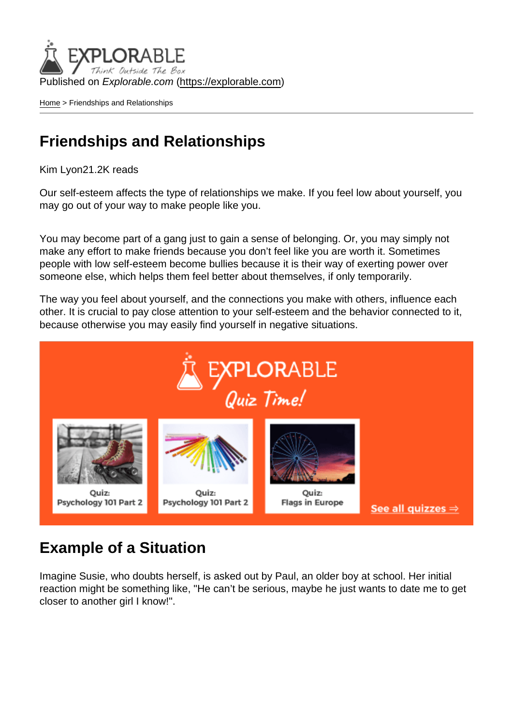Published on Explorable.com (<https://explorable.com>)

[Home](https://explorable.com/) > Friendships and Relationships

#### Friendships and Relationships

Kim Lyon21.2K reads

Our self-esteem affects the type of relationships we make. If you feel low about yourself, you may go out of your way to make people like you.

You may become part of a gang just to gain a sense of belonging. Or, you may simply not make any effort to make friends because you don't feel like you are worth it. Sometimes people with low self-esteem become bullies because it is their way of exerting power over someone else, which helps them feel better about themselves, if only temporarily.

The way you feel about yourself, and the connections you make with others, influence each other. It is crucial to pay close attention to your self-esteem and the behavior connected to it, because otherwise you may easily find yourself in negative situations.

#### Example of a Situation

Imagine Susie, who doubts herself, is asked out by Paul, an older boy at school. Her initial reaction might be something like, "He can't be serious, maybe he just wants to date me to get closer to another girl I know!".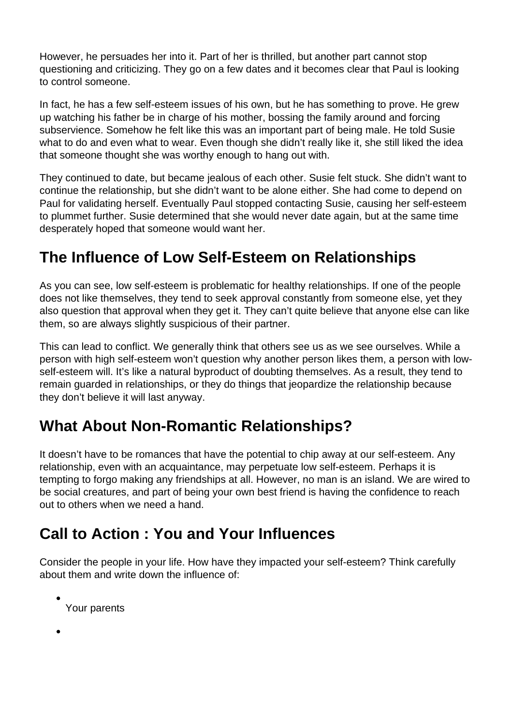However, he persuades her into it. Part of her is thrilled, but another part cannot stop questioning and criticizing. They go on a few dates and it becomes clear that Paul is looking to control someone.

In fact, he has a few self-esteem issues of his own, but he has something to prove. He grew up watching his father be in charge of his mother, bossing the family around and forcing subservience. Somehow he felt like this was an important part of being male. He told Susie what to do and even what to wear. Even though she didn't really like it, she still liked the idea that someone thought she was worthy enough to hang out with.

They continued to date, but became jealous of each other. Susie felt stuck. She didn't want to continue the relationship, but she didn't want to be alone either. She had come to depend on Paul for validating herself. Eventually Paul stopped contacting Susie, causing her self-esteem to plummet further. Susie determined that she would never date again, but at the same time desperately hoped that someone would want her.

#### **The Influence of Low Self-Esteem on Relationships**

As you can see, low self-esteem is problematic for healthy relationships. If one of the people does not like themselves, they tend to seek approval constantly from someone else, yet they also question that approval when they get it. They can't quite believe that anyone else can like them, so are always slightly suspicious of their partner.

This can lead to conflict. We generally think that others see us as we see ourselves. While a person with high self-esteem won't question why another person likes them, a person with lowself-esteem will. It's like a natural byproduct of doubting themselves. As a result, they tend to remain guarded in relationships, or they do things that jeopardize the relationship because they don't believe it will last anyway.

## **What About Non-Romantic Relationships?**

It doesn't have to be romances that have the potential to chip away at our self-esteem. Any relationship, even with an acquaintance, may perpetuate low self-esteem. Perhaps it is tempting to forgo making any friendships at all. However, no man is an island. We are wired to be social creatures, and part of being your own best friend is having the confidence to reach out to others when we need a hand.

## **Call to Action : You and Your Influences**

Consider the people in your life. How have they impacted your self-esteem? Think carefully about them and write down the influence of:

Your parents